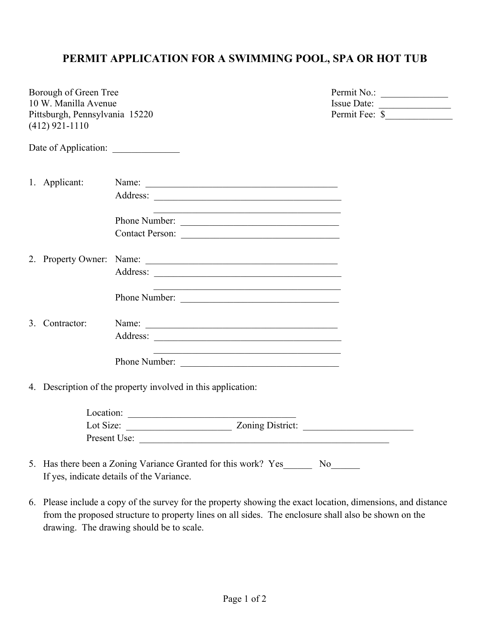## **PERMIT APPLICATION FOR A SWIMMING POOL, SPA OR HOT TUB**

| Borough of Green Tree<br>10 W. Manilla Avenue      |                |                                                                                                                |                                                                    | Permit No.:<br>Issue Date: |  |
|----------------------------------------------------|----------------|----------------------------------------------------------------------------------------------------------------|--------------------------------------------------------------------|----------------------------|--|
| Pittsburgh, Pennsylvania 15220<br>$(412)$ 921-1110 |                |                                                                                                                | Permit Fee: \$                                                     |                            |  |
|                                                    |                |                                                                                                                |                                                                    |                            |  |
|                                                    | 1. Applicant:  | Name:                                                                                                          |                                                                    |                            |  |
|                                                    |                |                                                                                                                |                                                                    |                            |  |
|                                                    |                | Phone Number:                                                                                                  |                                                                    |                            |  |
|                                                    |                | Contact Person:                                                                                                |                                                                    |                            |  |
|                                                    |                |                                                                                                                |                                                                    |                            |  |
|                                                    |                |                                                                                                                |                                                                    |                            |  |
|                                                    |                | Phone Number:                                                                                                  | <u> 1989 - Johann John Stein, mars an deutscher Stein († 1958)</u> |                            |  |
|                                                    | 3. Contractor: |                                                                                                                |                                                                    |                            |  |
|                                                    |                | Address:                                                                                                       |                                                                    |                            |  |
|                                                    |                | Phone Number:                                                                                                  | <u> 1989 - Johann Barbara, margaret eta idazlearia (h. 1989).</u>  |                            |  |
|                                                    |                | 4. Description of the property involved in this application:                                                   |                                                                    |                            |  |
|                                                    |                |                                                                                                                |                                                                    |                            |  |
|                                                    |                |                                                                                                                |                                                                    |                            |  |
|                                                    |                | Present Use:                                                                                                   |                                                                    |                            |  |
|                                                    |                | 5. Has there been a Zoning Variance Granted for this work? Yes No<br>If yes, indicate details of the Variance. |                                                                    |                            |  |

6. Please include a copy of the survey for the property showing the exact location, dimensions, and distance from the proposed structure to property lines on all sides. The enclosure shall also be shown on the drawing. The drawing should be to scale.